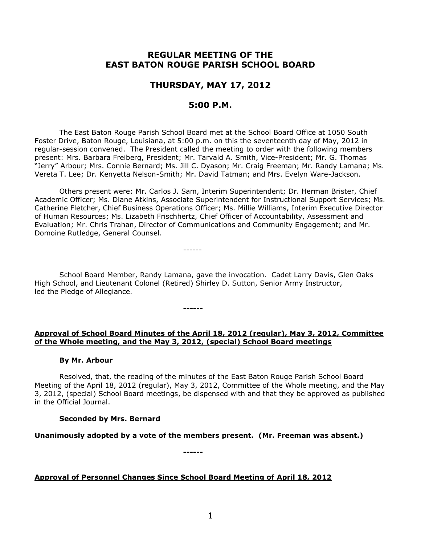# **REGULAR MEETING OF THE EAST BATON ROUGE PARISH SCHOOL BOARD**

## **THURSDAY, MAY 17, 2012**

## **5:00 P.M.**

The East Baton Rouge Parish School Board met at the School Board Office at 1050 South Foster Drive, Baton Rouge, Louisiana, at 5:00 p.m. on this the seventeenth day of May, 2012 in regular-session convened. The President called the meeting to order with the following members present: Mrs. Barbara Freiberg, President; Mr. Tarvald A. Smith, Vice-President; Mr. G. Thomas "Jerry" Arbour; Mrs. Connie Bernard; Ms. Jill C. Dyason; Mr. Craig Freeman; Mr. Randy Lamana; Ms. Vereta T. Lee; Dr. Kenyetta Nelson-Smith; Mr. David Tatman; and Mrs. Evelyn Ware-Jackson.

Others present were: Mr. Carlos J. Sam, Interim Superintendent; Dr. Herman Brister, Chief Academic Officer; Ms. Diane Atkins, Associate Superintendent for Instructional Support Services; Ms. Catherine Fletcher, Chief Business Operations Officer; Ms. Millie Williams, Interim Executive Director of Human Resources; Ms. Lizabeth Frischhertz, Chief Officer of Accountability, Assessment and Evaluation; Mr. Chris Trahan, Director of Communications and Community Engagement; and Mr. Domoine Rutledge, General Counsel.

------

**------**

School Board Member, Randy Lamana, gave the invocation. Cadet Larry Davis, Glen Oaks High School, and Lieutenant Colonel (Retired) Shirley D. Sutton, Senior Army Instructor, led the Pledge of Allegiance.

### **Approval of School Board Minutes of the April 18, 2012 (regular), May 3, 2012, Committee of the Whole meeting, and the May 3, 2012, (special) School Board meetings**

#### **By Mr. Arbour**

Resolved, that, the reading of the minutes of the East Baton Rouge Parish School Board Meeting of the April 18, 2012 (regular), May 3, 2012, Committee of the Whole meeting, and the May 3, 2012, (special) School Board meetings, be dispensed with and that they be approved as published in the Official Journal.

### **Seconded by Mrs. Bernard**

**Unanimously adopted by a vote of the members present. (Mr. Freeman was absent.)**

**------**

### **Approval of Personnel Changes Since School Board Meeting of April 18, 2012**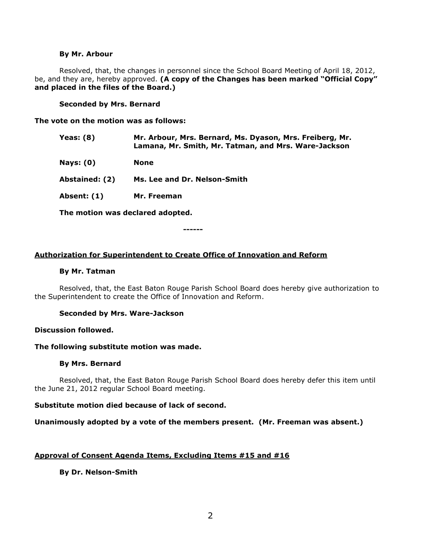#### **By Mr. Arbour**

Resolved, that, the changes in personnel since the School Board Meeting of April 18, 2012, be, and they are, hereby approved. **(A copy of the Changes has been marked "Official Copy" and placed in the files of the Board.)**

### **Seconded by Mrs. Bernard**

**The vote on the motion was as follows:**

| <b>Yeas: (8)</b> | Mr. Arbour, Mrs. Bernard, Ms. Dyason, Mrs. Freiberg, Mr.<br>Lamana, Mr. Smith, Mr. Tatman, and Mrs. Ware-Jackson |
|------------------|------------------------------------------------------------------------------------------------------------------|
| <b>Nays: (0)</b> | <b>None</b>                                                                                                      |
| Abstained: (2)   | Ms. Lee and Dr. Nelson-Smith                                                                                     |
| Absent: (1)      | Mr. Freeman                                                                                                      |
|                  |                                                                                                                  |

**------**

**The motion was declared adopted.**

**Authorization for Superintendent to Create Office of Innovation and Reform**

#### **By Mr. Tatman**

Resolved, that, the East Baton Rouge Parish School Board does hereby give authorization to the Superintendent to create the Office of Innovation and Reform.

### **Seconded by Mrs. Ware-Jackson**

### **Discussion followed.**

#### **The following substitute motion was made.**

### **By Mrs. Bernard**

Resolved, that, the East Baton Rouge Parish School Board does hereby defer this item until the June 21, 2012 regular School Board meeting.

### **Substitute motion died because of lack of second.**

### **Unanimously adopted by a vote of the members present. (Mr. Freeman was absent.)**

### **Approval of Consent Agenda Items, Excluding Items #15 and #16**

### **By Dr. Nelson-Smith**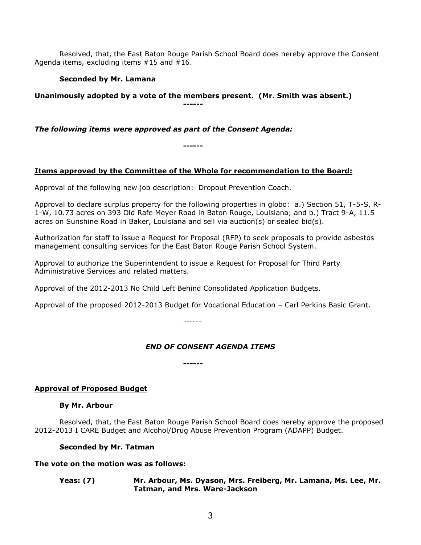Resolved, that, the East Baton Rouge Parish School Board does hereby approve the Consent Agenda items, excluding items #15 and #16.

**Seconded by Mr. Lamana**

**Unanimously adopted by a vote of the members present. (Mr. Smith was absent.) ------**

*The following items were approved as part of the Consent Agenda:*

## **Items approved by the Committee of the Whole for recommendation to the Board:**

**------**

Approval of the following new job description: Dropout Prevention Coach.

Approval to declare surplus property for the following properties in globo: a.) Section 51, T-5-S, R-1-W, 10.73 acres on 393 Old Rafe Meyer Road in Baton Rouge, Louisiana; and b.) Tract 9-A, 11.5 acres on Sunshine Road in Baker, Louisiana and sell via auction(s) or sealed bid(s).

Authorization for staff to issue a Request for Proposal (RFP) to seek proposals to provide asbestos management consulting services for the East Baton Rouge Parish School System.

Approval to authorize the Superintendent to issue a Request for Proposal for Third Party Administrative Services and related matters.

Approval of the 2012-2013 No Child Left Behind Consolidated Application Budgets.

Approval of the proposed 2012-2013 Budget for Vocational Education – Carl Perkins Basic Grant.

------

## *END OF CONSENT AGENDA ITEMS*

**------**

## **Approval of Proposed Budget**

### **By Mr. Arbour**

Resolved, that, the East Baton Rouge Parish School Board does hereby approve the proposed 2012-2013 I CARE Budget and Alcohol/Drug Abuse Prevention Program (ADAPP) Budget.

### **Seconded by Mr. Tatman**

### **The vote on the motion was as follows:**

**Yeas: (7) Mr. Arbour, Ms. Dyason, Mrs. Freiberg, Mr. Lamana, Ms. Lee, Mr. Tatman, and Mrs. Ware-Jackson**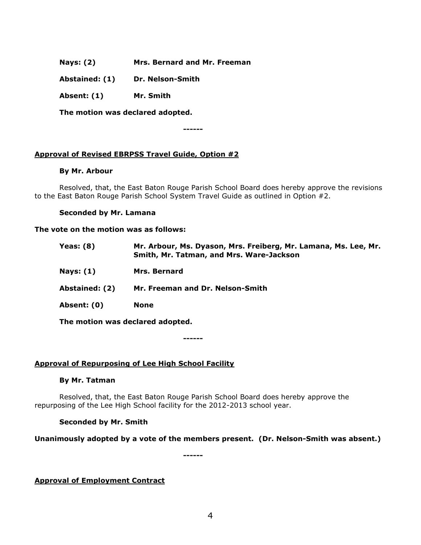- **Nays: (2) Mrs. Bernard and Mr. Freeman**
- **Abstained: (1) Dr. Nelson-Smith**
- **Absent: (1) Mr. Smith**

**The motion was declared adopted.**

**------**

## **Approval of Revised EBRPSS Travel Guide, Option #2**

### **By Mr. Arbour**

Resolved, that, the East Baton Rouge Parish School Board does hereby approve the revisions to the East Baton Rouge Parish School System Travel Guide as outlined in Option #2.

#### **Seconded by Mr. Lamana**

#### **The vote on the motion was as follows:**

| Yeas: $(8)$    | Mr. Arbour, Ms. Dyason, Mrs. Freiberg, Mr. Lamana, Ms. Lee, Mr.<br>Smith, Mr. Tatman, and Mrs. Ware-Jackson |
|----------------|-------------------------------------------------------------------------------------------------------------|
| Nays: $(1)$    | Mrs. Bernard                                                                                                |
| Abstained: (2) | Mr. Freeman and Dr. Nelson-Smith                                                                            |
| Absent: (0)    | <b>None</b>                                                                                                 |
|                | The motion was declared adopted.                                                                            |

**------**

### **Approval of Repurposing of Lee High School Facility**

### **By Mr. Tatman**

Resolved, that, the East Baton Rouge Parish School Board does hereby approve the repurposing of the Lee High School facility for the 2012-2013 school year.

### **Seconded by Mr. Smith**

### **Unanimously adopted by a vote of the members present. (Dr. Nelson-Smith was absent.)**

**------**

## **Approval of Employment Contract**